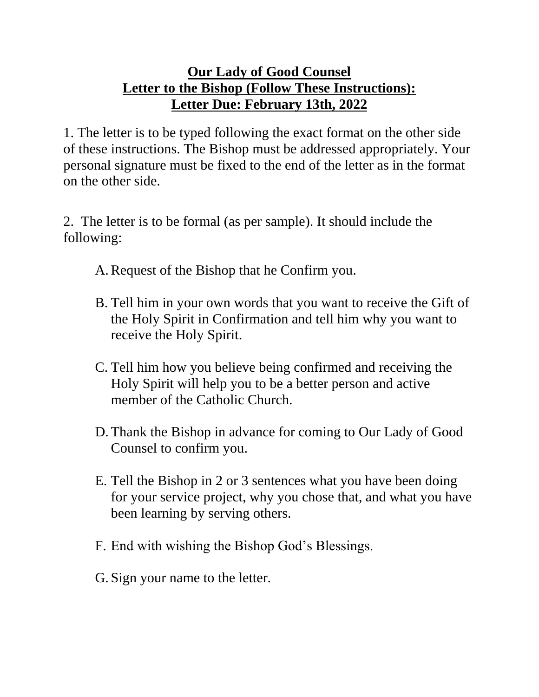## **Our Lady of Good Counsel Letter to the Bishop (Follow These Instructions): Letter Due: February 13th, 2022**

1. The letter is to be typed following the exact format on the other side of these instructions. The Bishop must be addressed appropriately. Your personal signature must be fixed to the end of the letter as in the format on the other side.

2. The letter is to be formal (as per sample). It should include the following:

A.Request of the Bishop that he Confirm you.

- B. Tell him in your own words that you want to receive the Gift of the Holy Spirit in Confirmation and tell him why you want to receive the Holy Spirit.
- C. Tell him how you believe being confirmed and receiving the Holy Spirit will help you to be a better person and active member of the Catholic Church.
- D. Thank the Bishop in advance for coming to Our Lady of Good Counsel to confirm you.
- E. Tell the Bishop in 2 or 3 sentences what you have been doing for your service project, why you chose that, and what you have been learning by serving others.
- F. End with wishing the Bishop God's Blessings.
- G. Sign your name to the letter.